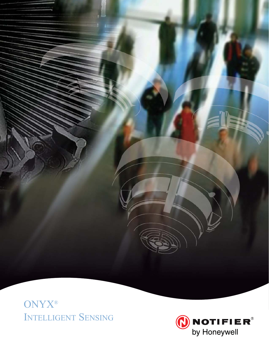

### **ONYX® INTELLIGENT SENSING**

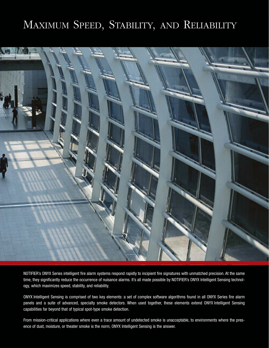# MAXIMUM SPEED, STABILITY, AND RELIABILITY



NOTIFIER's ONYX Series intelligent fire alarm systems respond rapidly to incipient fire signatures with unmatched precision. At the same time, they significantly reduce the occurrence of nuisance alarms. It's all made possible by NOTIFIER's ONYX Intelligent Sensing technology, which maximizes speed, stability, and reliability.

ONYX Intelligent Sensing is comprised of two key elements: a set of complex software algorithms found in all ONYX Series fire alarm panels and a suite of advanced, specialty smoke detectors. When used together, these elements extend ONYX Intelligent Sensing capabilities far beyond that of typical spot-type smoke detection.

From mission-critical applications where even a trace amount of undetected smoke is unacceptable, to environments where the presence of dust, moisture, or theater smoke is the norm, ONYX Intelligent Sensing is the answer.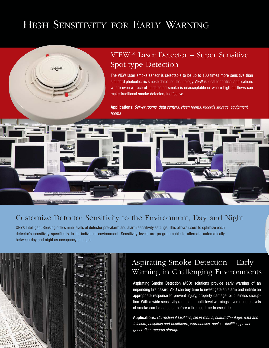## HIGH SENSITIVITY FOR EARLY WARNING



The VIEW laser smoke sensor is selectable to be up to 100 times more sensitive than standard photoelectric smoke detection technology. VIEW is ideal for critical applications where even a trace of undetected smoke is unacceptable or where high air flows can make traditional smoke detectors ineffective.

**Applications:** Server rooms, data centers, clean rooms, records storage, equipment rooms



#### Customize Detector Sensitivity to the Environment, Day and Night

ONYX Intelligent Sensing offers nine levels of detector pre-alarm and alarm sensitivity settings. This allows users to optimize each detector's sensitivity specifically to its individual environment. Sensitivity levels are programmable to alternate automatically between day and night as occupancy changes.



V-H-W

### Aspirating Smoke Detection – Early Warning in Challenging Environments

Aspirating Smoke Detection (ASD) solutions provide early warning of an impending fire hazard. ASD can buy time to investigate an alarm and initiate an appropriate response to prevent injury, property damage, or business disruption. With a wide sensitivity range and multi-level warnings, even minute levels of smoke can be detected before a fire has time to escalate.

**Applications:** Correctional facilities, clean rooms, cultural/heritage, data and telecom, hospitals and healthcare, warehouses, nuclear facilities, power generation, records storage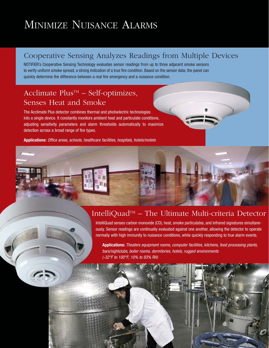# MINIMIZE NUISANCE ALARMS

#### Cooperative Sensing Analyzes Readings from Multiple Devices

NOTIFIER's Cooperative Sensing Technology evaluates sensor readings from up to three adjacent smoke sensors to verify uniform smoke spread, a strong indication of a true fire condition. Based on the sensor data, the panel can quickly determine the difference between a real fire emergency and a nuisance condition.

#### Acclimate  $Plus^{TM} - Self-optimizes,$ Senses Heat and Smoke

The Acclimate Plus detector combines thermal and photoelectric technologies into a single device. It constantly monitors ambient heat and particulate conditions, adjusting sensitivity parameters and alarm thresholds automatically to maximize detection across a broad range of fire types.

**Applications:** Office areas, schools, healthcare facilities, hospitals, hotels/motels



#### IntelliQuad<sup>™</sup> – The Ultimate Multi-criteria Detector

IntelliQuad senses carbon monoxide (CO), heat, smoke particulates, and infrared signatures simultaneously. Sensor readings are continually evaluated against one another, allowing the detector to operate normally with high immunity to nuisance conditions, while quickly responding to true alarm events.

**Applications:** Theaters equipment rooms, computer facilities, kitchens, food processing plants, bars/nightclubs, boiler rooms, dormitories, hotels, rugged environments (-32°F to 100°F; 10% to 93% RH)

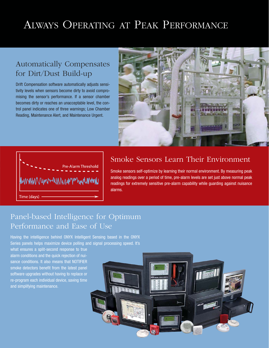### ALWAYS OPERATING AT PEAK PERFORMANCE

#### Automatically Compensates for Dirt/Dust Build-up

Drift Compensation software automatically adjusts sensitivity levels when sensors become dirty to avoid compromising the sensor's performance. If a sensor chamber becomes dirty or reaches an unacceptable level, the control panel indicates one of three warnings; Low Chamber Reading, Maintenance Alert, and Maintenance Urgent.





#### Smoke Sensors Learn Their Environment

Smoke sensors self-optimize by learning their normal environment. By measuring peak analog readings over a period of time, pre-alarm levels are set just above normal peak readings for extremely sensitive pre-alarm capability while guarding against nuisance alarms.

### Panel-based Intelligence for Optimum Performance and Ease of Use

Having the intelligence behind ONYX Intelligent Sensing based in the ONYX Series panels helps maximize device polling and signal processing speed. It's

what ensures a split-second response to true alarm conditions and the quick rejection of nuisance conditions. It also means that NOTIFIER smoke detectors benefit from the latest panel software upgrades without having to replace or re-program each individual device, saving time and simplifying maintenance.